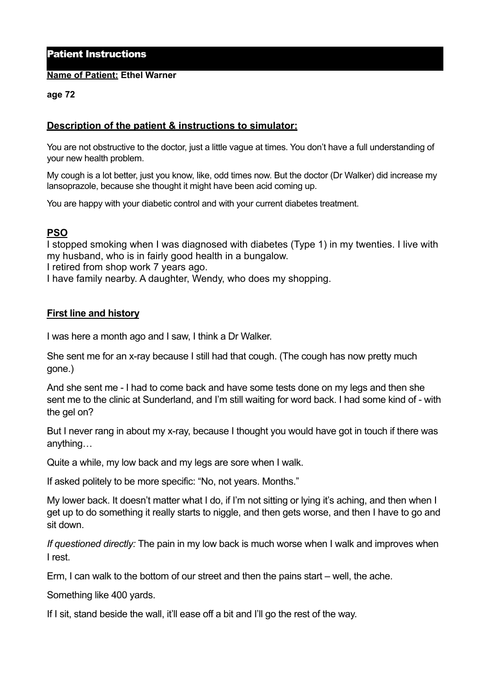# Patient Instructions

#### **Name of Patient: Ethel Warner**

#### **age 72**

# **Description of the patient & instructions to simulator:**

You are not obstructive to the doctor, just a little vague at times. You don't have a full understanding of your new health problem.

My cough is a lot better, just you know, like, odd times now. But the doctor (Dr Walker) did increase my lansoprazole, because she thought it might have been acid coming up.

You are happy with your diabetic control and with your current diabetes treatment.

## **PSO**

I stopped smoking when I was diagnosed with diabetes (Type 1) in my twenties. I live with my husband, who is in fairly good health in a bungalow.

I retired from shop work 7 years ago.

I have family nearby. A daughter, Wendy, who does my shopping.

## **First line and history**

I was here a month ago and I saw, I think a Dr Walker.

She sent me for an x-ray because I still had that cough. (The cough has now pretty much gone.)

And she sent me - I had to come back and have some tests done on my legs and then she sent me to the clinic at Sunderland, and I'm still waiting for word back. I had some kind of - with the gel on?

But I never rang in about my x-ray, because I thought you would have got in touch if there was anything…

Quite a while, my low back and my legs are sore when I walk.

If asked politely to be more specific: "No, not years. Months."

My lower back. It doesn't matter what I do, if I'm not sitting or lying it's aching, and then when I get up to do something it really starts to niggle, and then gets worse, and then I have to go and sit down.

*If questioned directly:* The pain in my low back is much worse when I walk and improves when I rest.

Erm, I can walk to the bottom of our street and then the pains start – well, the ache.

Something like 400 yards.

If I sit, stand beside the wall, it'll ease off a bit and I'll go the rest of the way.